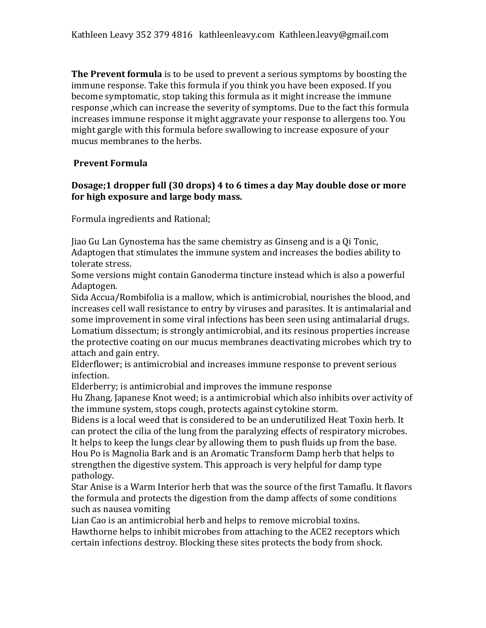**The Prevent formula** is to be used to prevent a serious symptoms by boosting the immune response. Take this formula if you think you have been exposed. If you become symptomatic, stop taking this formula as it might increase the immune response ,which can increase the severity of symptoms. Due to the fact this formula increases immune response it might aggravate your response to allergens too. You might gargle with this formula before swallowing to increase exposure of your mucus membranes to the herbs.

### **Prevent Formula**

# **Dosage;1 dropper full (30 drops) 4 to 6 times a day May double dose or more for high exposure and large body mass.**

Formula ingredients and Rational;

Jiao Gu Lan Gynostema has the same chemistry as Ginseng and is a Qi Tonic, Adaptogen that stimulates the immune system and increases the bodies ability to tolerate stress.

Some versions might contain Ganoderma tincture instead which is also a powerful Adaptogen.

Sida Accua/Rombifolia is a mallow, which is antimicrobial, nourishes the blood, and increases cell wall resistance to entry by viruses and parasites. It is antimalarial and some improvement in some viral infections has been seen using antimalarial drugs. Lomatium dissectum; is strongly antimicrobial, and its resinous properties increase the protective coating on our mucus membranes deactivating microbes which try to attach and gain entry.

Elderflower; is antimicrobial and increases immune response to prevent serious infection.

Elderberry; is antimicrobial and improves the immune response

Hu Zhang, Japanese Knot weed; is a antimicrobial which also inhibits over activity of the immune system, stops cough, protects against cytokine storm.

Bidens is a local weed that is considered to be an underutilized Heat Toxin herb. It can protect the cilia of the lung from the paralyzing effects of respiratory microbes. It helps to keep the lungs clear by allowing them to push fluids up from the base. Hou Po is Magnolia Bark and is an Aromatic Transform Damp herb that helps to strengthen the digestive system. This approach is very helpful for damp type pathology.

Star Anise is a Warm Interior herb that was the source of the first Tamaflu. It flavors the formula and protects the digestion from the damp affects of some conditions such as nausea vomiting

Lian Cao is an antimicrobial herb and helps to remove microbial toxins. Hawthorne helps to inhibit microbes from attaching to the ACE2 receptors which certain infections destroy. Blocking these sites protects the body from shock.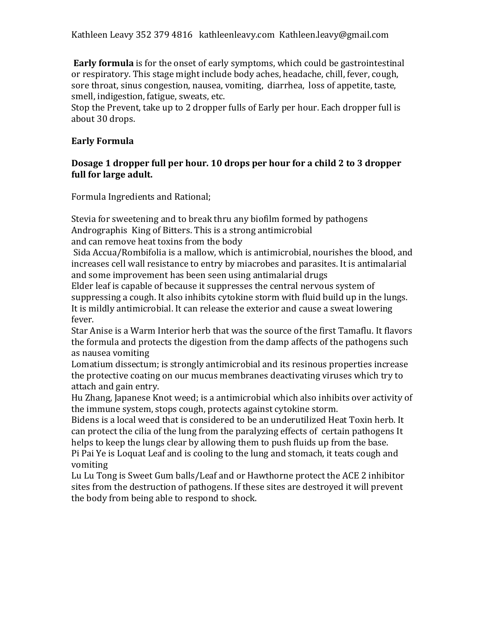**Early formula** is for the onset of early symptoms, which could be gastrointestinal or respiratory. This stage might include body aches, headache, chill, fever, cough, sore throat, sinus congestion, nausea, vomiting, diarrhea, loss of appetite, taste, smell, indigestion, fatigue, sweats, etc.

Stop the Prevent, take up to 2 dropper fulls of Early per hour. Each dropper full is about 30 drops.

# **Early Formula**

# **Dosage 1 dropper full per hour. 10 drops per hour for a child 2 to 3 dropper full for large adult.**

Formula Ingredients and Rational;

Stevia for sweetening and to break thru any biofilm formed by pathogens Andrographis King of Bitters. This is a strong antimicrobial and can remove heat toxins from the body

Sida Accua/Rombifolia is a mallow, which is antimicrobial, nourishes the blood, and increases cell wall resistance to entry by miacrobes and parasites. It is antimalarial and some improvement has been seen using antimalarial drugs

Elder leaf is capable of because it suppresses the central nervous system of suppressing a cough. It also inhibits cytokine storm with fluid build up in the lungs. It is mildly antimicrobial. It can release the exterior and cause a sweat lowering fever.

Star Anise is a Warm Interior herb that was the source of the first Tamaflu. It flavors the formula and protects the digestion from the damp affects of the pathogens such as nausea vomiting

Lomatium dissectum; is strongly antimicrobial and its resinous properties increase the protective coating on our mucus membranes deactivating viruses which try to attach and gain entry.

Hu Zhang, Japanese Knot weed; is a antimicrobial which also inhibits over activity of the immune system, stops cough, protects against cytokine storm.

Bidens is a local weed that is considered to be an underutilized Heat Toxin herb. It can protect the cilia of the lung from the paralyzing effects of certain pathogens It helps to keep the lungs clear by allowing them to push fluids up from the base. Pi Pai Ye is Loquat Leaf and is cooling to the lung and stomach, it teats cough and vomiting

Lu Lu Tong is Sweet Gum balls/Leaf and or Hawthorne protect the ACE 2 inhibitor sites from the destruction of pathogens. If these sites are destroyed it will prevent the body from being able to respond to shock.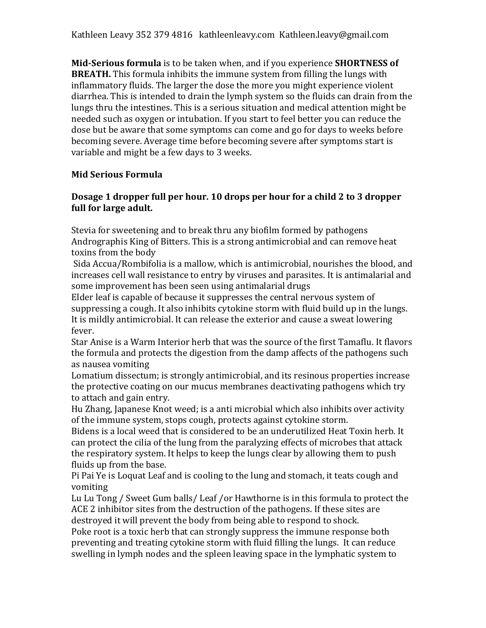Kathleen Leavy 352 379 4816 kathleenleavy.com Kathleen.leavy@gmail.com

**Mid-Serious formula** is to be taken when, and if you experience **SHORTNESS of BREATH.** This formula inhibits the immune system from filling the lungs with inflammatory fluids. The larger the dose the more you might experience violent diarrhea. This is intended to drain the lymph system so the fluids can drain from the lungs thru the intestines. This is a serious situation and medical attention might be needed such as oxygen or intubation. If you start to feel better you can reduce the dose but be aware that some symptoms can come and go for days to weeks before becoming severe. Average time before becoming severe after symptoms start is variable and might be a few days to 3 weeks.

### **Mid Serious Formula**

# **Dosage 1 dropper full per hour. 10 drops per hour for a child 2 to 3 dropper full for large adult.**

Stevia for sweetening and to break thru any biofilm formed by pathogens Andrographis King of Bitters. This is a strong antimicrobial and can remove heat toxins from the body

Sida Accua/Rombifolia is a mallow, which is antimicrobial, nourishes the blood, and increases cell wall resistance to entry by viruses and parasites. It is antimalarial and some improvement has been seen using antimalarial drugs

Elder leaf is capable of because it suppresses the central nervous system of suppressing a cough. It also inhibits cytokine storm with fluid build up in the lungs. It is mildly antimicrobial. It can release the exterior and cause a sweat lowering fever.

Star Anise is a Warm Interior herb that was the source of the first Tamaflu. It flavors the formula and protects the digestion from the damp affects of the pathogens such as nausea vomiting

Lomatium dissectum; is strongly antimicrobial, and its resinous properties increase the protective coating on our mucus membranes deactivating pathogens which try to attach and gain entry.

Hu Zhang, Japanese Knot weed; is a anti microbial which also inhibits over activity of the immune system, stops cough, protects against cytokine storm.

Bidens is a local weed that is considered to be an underutilized Heat Toxin herb. It can protect the cilia of the lung from the paralyzing effects of microbes that attack the respiratory system. It helps to keep the lungs clear by allowing them to push fluids up from the base.

Pi Pai Ye is Loquat Leaf and is cooling to the lung and stomach, it teats cough and vomiting

Lu Lu Tong / Sweet Gum balls/ Leaf /or Hawthorne is in this formula to protect the ACE 2 inhibitor sites from the destruction of the pathogens. If these sites are destroyed it will prevent the body from being able to respond to shock.

Poke root is a toxic herb that can strongly suppress the immune response both preventing and treating cytokine storm with fluid filling the lungs. It can reduce swelling in lymph nodes and the spleen leaving space in the lymphatic system to